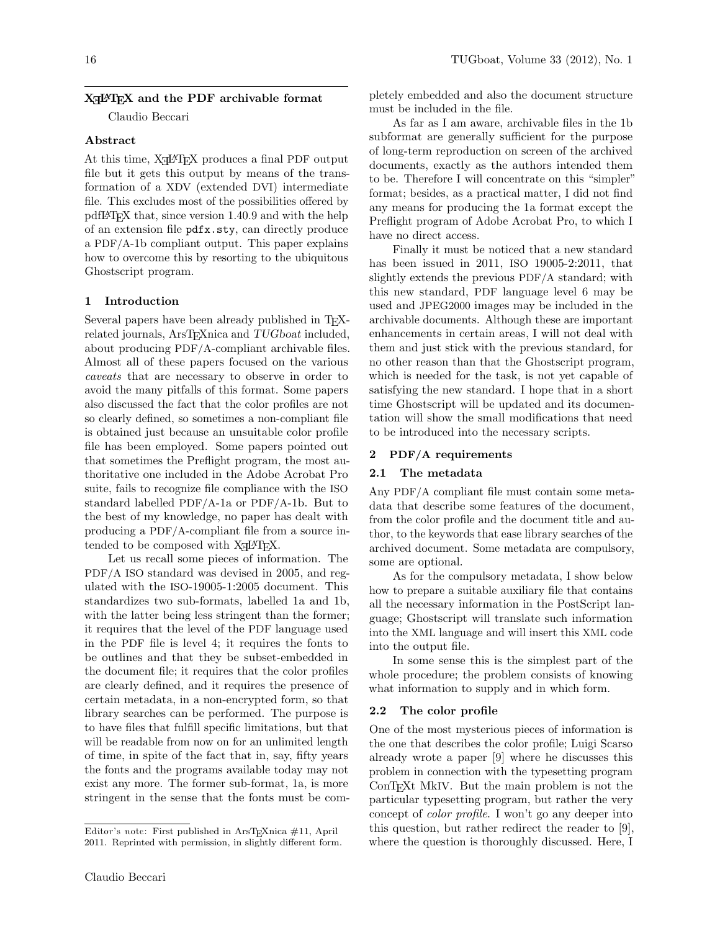# X<sub>H</sub>PH<sub>E</sub>X and the PDF archivable format

Claudio Beccari

# Abstract

At this time,  $X_{\text{H}}$   $\text{H}$ <sub>E</sub>X produces a final PDF output file but it gets this output by means of the transformation of a XDV (extended DVI) intermediate file. This excludes most of the possibilities offered by pdfLATEX that, since version 1.40.9 and with the help of an extension file pdfx.sty, can directly produce a PDF/A-1b compliant output. This paper explains how to overcome this by resorting to the ubiquitous Ghostscript program.

## 1 Introduction

Several papers have been already published in TEXrelated journals, ArsT<sub>E</sub>Xnica and TUGboat included, about producing PDF/A-compliant archivable files. Almost all of these papers focused on the various caveats that are necessary to observe in order to avoid the many pitfalls of this format. Some papers also discussed the fact that the color profiles are not so clearly defined, so sometimes a non-compliant file is obtained just because an unsuitable color profile file has been employed. Some papers pointed out that sometimes the Preflight program, the most authoritative one included in the Adobe Acrobat Pro suite, fails to recognize file compliance with the ISO standard labelled PDF/A-1a or PDF/A-1b. But to the best of my knowledge, no paper has dealt with producing a PDF/A-compliant file from a source intended to be composed with  $X \rightarrow E X$ .

Let us recall some pieces of information. The PDF/A ISO standard was devised in 2005, and regulated with the ISO-19005-1:2005 document. This standardizes two sub-formats, labelled 1a and 1b, with the latter being less stringent than the former; it requires that the level of the PDF language used in the PDF file is level 4; it requires the fonts to be outlines and that they be subset-embedded in the document file; it requires that the color profiles are clearly defined, and it requires the presence of certain metadata, in a non-encrypted form, so that library searches can be performed. The purpose is to have files that fulfill specific limitations, but that will be readable from now on for an unlimited length of time, in spite of the fact that in, say, fifty years the fonts and the programs available today may not exist any more. The former sub-format, 1a, is more stringent in the sense that the fonts must be completely embedded and also the document structure must be included in the file.

As far as I am aware, archivable files in the 1b subformat are generally sufficient for the purpose of long-term reproduction on screen of the archived documents, exactly as the authors intended them to be. Therefore I will concentrate on this "simpler" format; besides, as a practical matter, I did not find any means for producing the 1a format except the Preflight program of Adobe Acrobat Pro, to which I have no direct access.

Finally it must be noticed that a new standard has been issued in 2011, ISO 19005-2:2011, that slightly extends the previous PDF/A standard; with this new standard, PDF language level 6 may be used and JPEG2000 images may be included in the archivable documents. Although these are important enhancements in certain areas, I will not deal with them and just stick with the previous standard, for no other reason than that the Ghostscript program, which is needed for the task, is not yet capable of satisfying the new standard. I hope that in a short time Ghostscript will be updated and its documentation will show the small modifications that need to be introduced into the necessary scripts.

#### 2 PDF/A requirements

#### 2.1 The metadata

Any PDF/A compliant file must contain some metadata that describe some features of the document, from the color profile and the document title and author, to the keywords that ease library searches of the archived document. Some metadata are compulsory, some are optional.

As for the compulsory metadata, I show below how to prepare a suitable auxiliary file that contains all the necessary information in the PostScript language; Ghostscript will translate such information into the XML language and will insert this XML code into the output file.

In some sense this is the simplest part of the whole procedure; the problem consists of knowing what information to supply and in which form.

#### 2.2 The color profile

One of the most mysterious pieces of information is the one that describes the color profile; Luigi Scarso already wrote a paper [\[9\]](#page-4-0) where he discusses this problem in connection with the typesetting program ConT<sub>EX</sub>t MkIV. But the main problem is not the particular typesetting program, but rather the very concept of color profile. I won't go any deeper into this question, but rather redirect the reader to [\[9\]](#page-4-0), where the question is thoroughly discussed. Here, I

Editor's note: First published in ArsT<sub>E</sub>Xnica  $\#11$ , April 2011. Reprinted with permission, in slightly different form.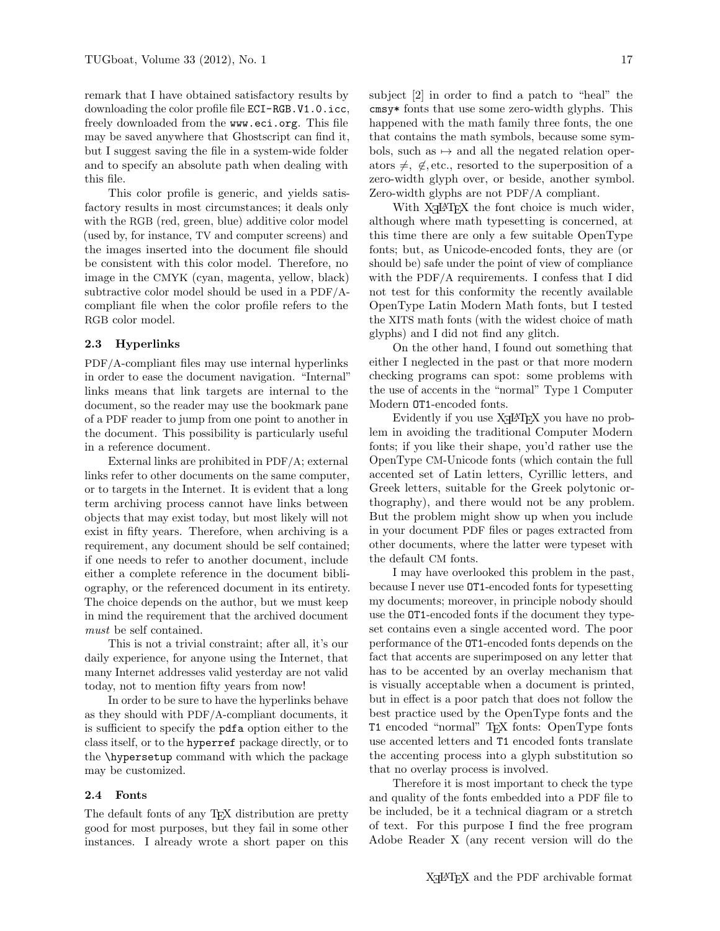remark that I have obtained satisfactory results by downloading the color profile file ECI-RGB.V1.0.icc, freely downloaded from the www.eci.org. This file may be saved anywhere that Ghostscript can find it, but I suggest saving the file in a system-wide folder and to specify an absolute path when dealing with this file.

This color profile is generic, and yields satisfactory results in most circumstances; it deals only with the RGB (red, green, blue) additive color model (used by, for instance, TV and computer screens) and the images inserted into the document file should be consistent with this color model. Therefore, no image in the CMYK (cyan, magenta, yellow, black) subtractive color model should be used in a PDF/Acompliant file when the color profile refers to the RGB color model.

### 2.3 Hyperlinks

PDF/A-compliant files may use internal hyperlinks in order to ease the document navigation. "Internal" links means that link targets are internal to the document, so the reader may use the bookmark pane of a PDF reader to jump from one point to another in the document. This possibility is particularly useful in a reference document.

External links are prohibited in PDF/A; external links refer to other documents on the same computer, or to targets in the Internet. It is evident that a long term archiving process cannot have links between objects that may exist today, but most likely will not exist in fifty years. Therefore, when archiving is a requirement, any document should be self contained; if one needs to refer to another document, include either a complete reference in the document bibliography, or the referenced document in its entirety. The choice depends on the author, but we must keep in mind the requirement that the archived document must be self contained.

This is not a trivial constraint; after all, it's our daily experience, for anyone using the Internet, that many Internet addresses valid yesterday are not valid today, not to mention fifty years from now!

In order to be sure to have the hyperlinks behave as they should with PDF/A-compliant documents, it is sufficient to specify the pdfa option either to the class itself, or to the hyperref package directly, or to the \hypersetup command with which the package may be customized.

## 2.4 Fonts

The default fonts of any T<sub>E</sub>X distribution are pretty good for most purposes, but they fail in some other instances. I already wrote a short paper on this subject [\[2\]](#page-4-1) in order to find a patch to "heal" the cmsy\* fonts that use some zero-width glyphs. This happened with the math family three fonts, the one that contains the math symbols, because some symbols, such as  $\mapsto$  and all the negated relation operators  $\neq$ ,  $\notin$ , etc., resorted to the superposition of a zero-width glyph over, or beside, another symbol. Zero-width glyphs are not PDF/A compliant.

With X<sub>H</sub>I<sup>M</sup>IEX the font choice is much wider, although where math typesetting is concerned, at this time there are only a few suitable OpenType fonts; but, as Unicode-encoded fonts, they are (or should be) safe under the point of view of compliance with the PDF/A requirements. I confess that I did not test for this conformity the recently available OpenType Latin Modern Math fonts, but I tested the XITS math fonts (with the widest choice of math glyphs) and I did not find any glitch.

On the other hand, I found out something that either I neglected in the past or that more modern checking programs can spot: some problems with the use of accents in the "normal" Type 1 Computer Modern OT1-encoded fonts.

Evidently if you use  $X \rightarrow Y \rightarrow Y$  you have no problem in avoiding the traditional Computer Modern fonts; if you like their shape, you'd rather use the OpenType CM-Unicode fonts (which contain the full accented set of Latin letters, Cyrillic letters, and Greek letters, suitable for the Greek polytonic orthography), and there would not be any problem. But the problem might show up when you include in your document PDF files or pages extracted from other documents, where the latter were typeset with the default CM fonts.

I may have overlooked this problem in the past, because I never use OT1-encoded fonts for typesetting my documents; moreover, in principle nobody should use the OT1-encoded fonts if the document they typeset contains even a single accented word. The poor performance of the OT1-encoded fonts depends on the fact that accents are superimposed on any letter that has to be accented by an overlay mechanism that is visually acceptable when a document is printed, but in effect is a poor patch that does not follow the best practice used by the OpenType fonts and the T1 encoded "normal" TEX fonts: OpenType fonts use accented letters and T1 encoded fonts translate the accenting process into a glyph substitution so that no overlay process is involved.

Therefore it is most important to check the type and quality of the fonts embedded into a PDF file to be included, be it a technical diagram or a stretch of text. For this purpose I find the free program Adobe Reader X (any recent version will do the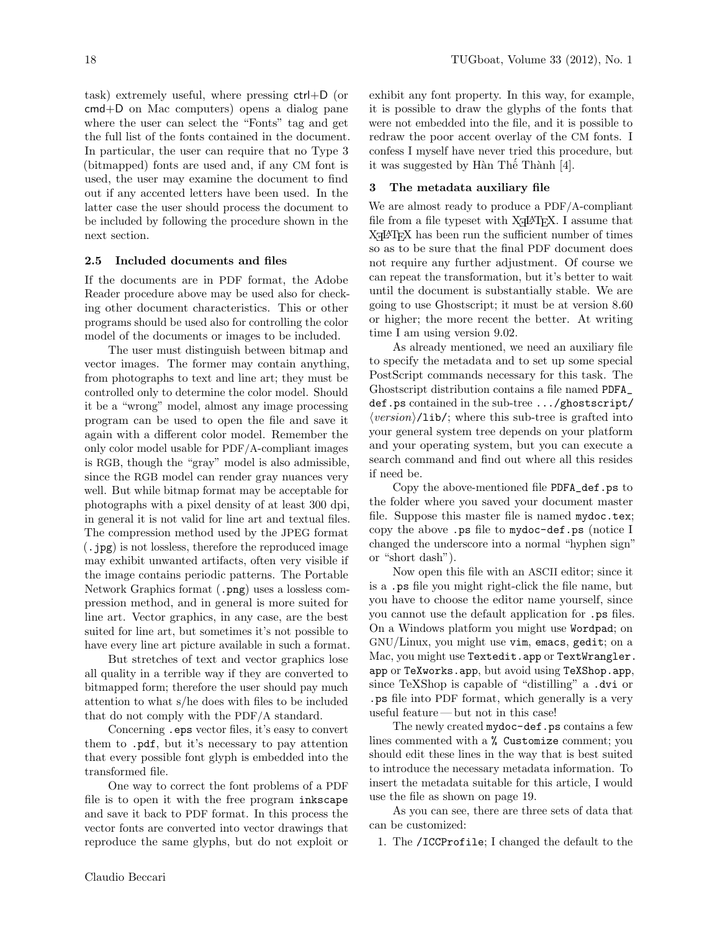task) extremely useful, where pressing ctrl+D (or cmd+D on Mac computers) opens a dialog pane where the user can select the "Fonts" tag and get the full list of the fonts contained in the document. In particular, the user can require that no Type 3 (bitmapped) fonts are used and, if any CM font is used, the user may examine the document to find out if any accented letters have been used. In the latter case the user should process the document to be included by following the procedure shown in the next section.

## 2.5 Included documents and files

If the documents are in PDF format, the Adobe Reader procedure above may be used also for checking other document characteristics. This or other programs should be used also for controlling the color model of the documents or images to be included.

The user must distinguish between bitmap and vector images. The former may contain anything, from photographs to text and line art; they must be controlled only to determine the color model. Should it be a "wrong" model, almost any image processing program can be used to open the file and save it again with a different color model. Remember the only color model usable for PDF/A-compliant images is RGB, though the "gray" model is also admissible, since the RGB model can render gray nuances very well. But while bitmap format may be acceptable for photographs with a pixel density of at least 300 dpi, in general it is not valid for line art and textual files. The compression method used by the JPEG format (.jpg) is not lossless, therefore the reproduced image may exhibit unwanted artifacts, often very visible if the image contains periodic patterns. The Portable Network Graphics format (.png) uses a lossless compression method, and in general is more suited for line art. Vector graphics, in any case, are the best suited for line art, but sometimes it's not possible to have every line art picture available in such a format.

But stretches of text and vector graphics lose all quality in a terrible way if they are converted to bitmapped form; therefore the user should pay much attention to what s/he does with files to be included that do not comply with the PDF/A standard.

Concerning .eps vector files, it's easy to convert them to .pdf, but it's necessary to pay attention that every possible font glyph is embedded into the transformed file.

One way to correct the font problems of a PDF file is to open it with the free program inkscape and save it back to PDF format. In this process the vector fonts are converted into vector drawings that reproduce the same glyphs, but do not exploit or exhibit any font property. In this way, for example, it is possible to draw the glyphs of the fonts that were not embedded into the file, and it is possible to redraw the poor accent overlay of the CM fonts. I confess I myself have never tried this procedure, but it was suggested by Hàn Thế Thành [\[4\]](#page-4-2).

#### 3 The metadata auxiliary file

We are almost ready to produce a PDF/A-compliant file from a file typeset with  $X_{\overline{A}}$  Le T<sub>EX</sub>. I assume that  $X<sub>T</sub> <sup>14</sup> <sup>15</sup> <sup>16</sup> <sup>17</sup> <sup>18</sup> <sup>19</sup> <sup>19</sup> <sup>19</sup> <sup>19</sup> <sup>19</sup> <sup>19</sup> <sup>19</sup> <sup>19</sup> <sup>19</sup> <sup>19</sup> <sup>19</sup> <sup>19</sup> <sup>19</sup> <sup>19</sup> <sup>19</sup> <sup>19</sup> <sup>19</sup> <sup>19</sup> <sup>19</sup> <sup>19</sup> <sup>19</sup> <sup>19</sup>$ so as to be sure that the final PDF document does not require any further adjustment. Of course we can repeat the transformation, but it's better to wait until the document is substantially stable. We are going to use Ghostscript; it must be at version 8.60 or higher; the more recent the better. At writing time I am using version 9.02.

As already mentioned, we need an auxiliary file to specify the metadata and to set up some special PostScript commands necessary for this task. The Ghostscript distribution contains a file named PDFA\_ def.ps contained in the sub-tree .../ghostscript/  $\langle version \rangle$ /lib/; where this sub-tree is grafted into your general system tree depends on your platform and your operating system, but you can execute a search command and find out where all this resides if need be.

Copy the above-mentioned file PDFA\_def.ps to the folder where you saved your document master file. Suppose this master file is named mydoc.tex; copy the above .ps file to mydoc-def.ps (notice I changed the underscore into a normal "hyphen sign" or "short dash").

Now open this file with an ASCII editor; since it is a .ps file you might right-click the file name, but you have to choose the editor name yourself, since you cannot use the default application for .ps files. On a Windows platform you might use Wordpad; on GNU/Linux, you might use vim, emacs, gedit; on a Mac, you might use Textedit.app or TextWrangler. app or TeXworks.app, but avoid using TeXShop.app, since TeXShop is capable of "distilling" a .dvi or .ps file into PDF format, which generally is a very useful feature — but not in this case!

The newly created mydoc-def.ps contains a few lines commented with a % Customize comment; you should edit these lines in the way that is best suited to introduce the necessary metadata information. To insert the metadata suitable for this article, I would use the file as shown on page [19.](#page-3-0)

As you can see, there are three sets of data that can be customized:

1. The /ICCProfile; I changed the default to the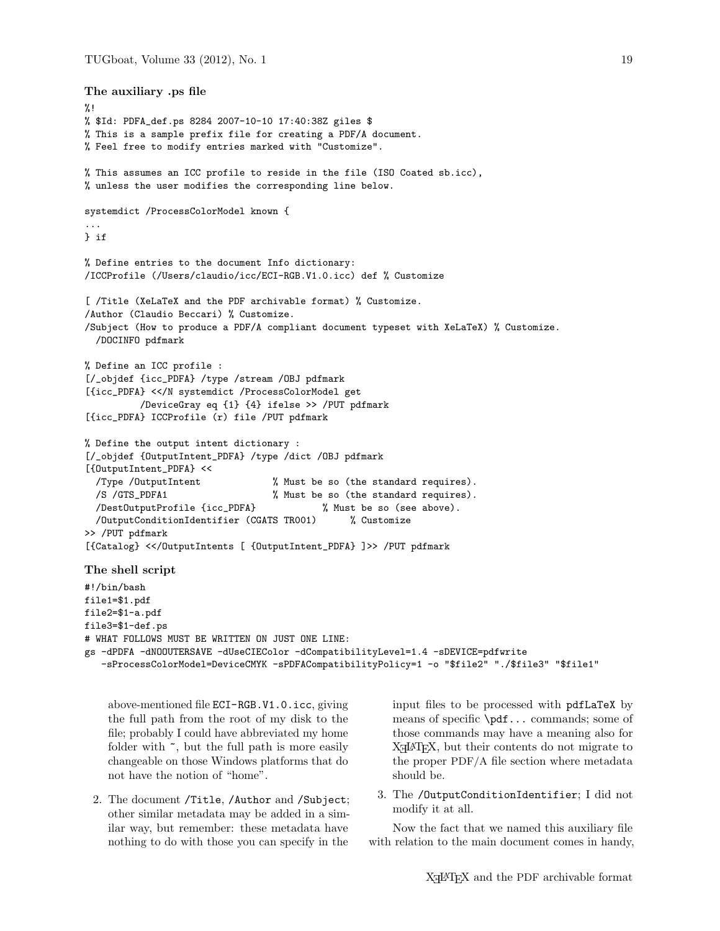```
The auxiliary .ps file
\frac{9}{1}% $Id: PDFA_def.ps 8284 2007-10-10 17:40:38Z giles $
% This is a sample prefix file for creating a PDF/A document.
% Feel free to modify entries marked with "Customize".
% This assumes an ICC profile to reside in the file (ISO Coated sb.icc),
% unless the user modifies the corresponding line below.
systemdict /ProcessColorModel known {
...
} if
% Define entries to the document Info dictionary:
/ICCProfile (/Users/claudio/icc/ECI-RGB.V1.0.icc) def % Customize
[ /Title (XeLaTeX and the PDF archivable format) % Customize.
/Author (Claudio Beccari) % Customize.
/Subject (How to produce a PDF/A compliant document typeset with XeLaTeX) % Customize.
  /DOCINFO pdfmark
% Define an ICC profile :
[/_objdef {icc_PDFA} /type /stream /OBJ pdfmark
[{icc_PDFA} <</N systemdict /ProcessColorModel get
         /DeviceGray eq {1} {4} ifelse >> /PUT pdfmark
[{icc_PDFA} ICCProfile (r) file /PUT pdfmark
% Define the output intent dictionary :
[/_objdef {OutputIntent_PDFA} /type /dict /OBJ pdfmark
[{OutputIntent_PDFA} <<
  /Type /OutputIntent % Must be so (the standard requires).
 /S /GTS_PDFA1 % Must be so (the standard requires).
 /DestOutputProfile {icc_PDFA} % Must be so (see above).
 /OutputConditionIdentifier (CGATS TR001) % Customize
>> /PUT pdfmark
[{Catalog} <</OutputIntents [ {OutputIntent_PDFA} ]>> /PUT pdfmark
The shell script
#!/bin/bash
file1=$1.pdf
file2=$1-a.pdf
file3=$1-def.ps
# WHAT FOLLOWS MUST BE WRITTEN ON JUST ONE LINE:
gs -dPDFA -dNOOUTERSAVE -dUseCIEColor -dCompatibilityLevel=1.4 -sDEVICE=pdfwrite
   -sProcessColorModel=DeviceCMYK -sPDFACompatibilityPolicy=1 -o "$file2" "./$file3" "$file1"
```
above-mentioned file ECI-RGB.V1.0.icc, giving the full path from the root of my disk to the file; probably I could have abbreviated my home folder with  $\tilde{\phantom{a}}$ , but the full path is more easily changeable on those Windows platforms that do not have the notion of "home".

2. The document /Title, /Author and /Subject; other similar metadata may be added in a similar way, but remember: these metadata have nothing to do with those you can specify in the

input files to be processed with pdfLaTeX by means of specific \pdf... commands; some of those commands may have a meaning also for X<sub>H</sub>AT<sub>E</sub>X, but their contents do not migrate to the proper PDF/A file section where metadata should be.

3. The /OutputConditionIdentifier; I did not modify it at all.

Now the fact that we named this auxiliary file with relation to the main document comes in handy,